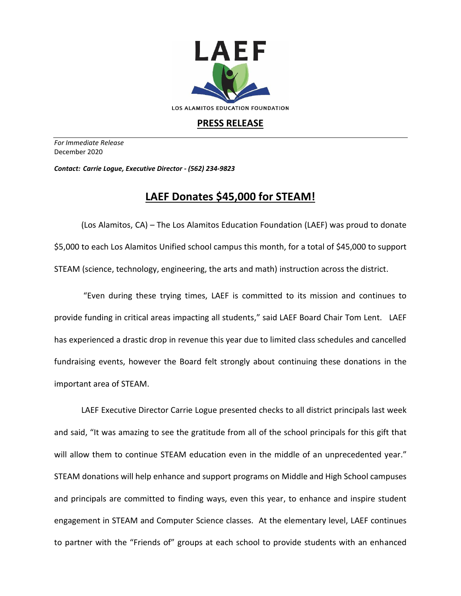

## **PRESS RELEASE**

*For Immediate Release*  December 2020

*Contact: Carrie Logue, Executive Director - (562) 234-9823*

## **LAEF Donates \$45,000 for STEAM!**

(Los Alamitos, CA) – The Los Alamitos Education Foundation (LAEF) was proud to donate \$5,000 to each Los Alamitos Unified school campus this month, for a total of \$45,000 to support STEAM (science, technology, engineering, the arts and math) instruction across the district.

"Even during these trying times, LAEF is committed to its mission and continues to provide funding in critical areas impacting all students," said LAEF Board Chair Tom Lent. LAEF has experienced a drastic drop in revenue this year due to limited class schedules and cancelled fundraising events, however the Board felt strongly about continuing these donations in the important area of STEAM.

LAEF Executive Director Carrie Logue presented checks to all district principals last week and said, "It was amazing to see the gratitude from all of the school principals for this gift that will allow them to continue STEAM education even in the middle of an unprecedented year." STEAM donations will help enhance and support programs on Middle and High School campuses and principals are committed to finding ways, even this year, to enhance and inspire student engagement in STEAM and Computer Science classes. At the elementary level, LAEF continues to partner with the "Friends of" groups at each school to provide students with an enhanced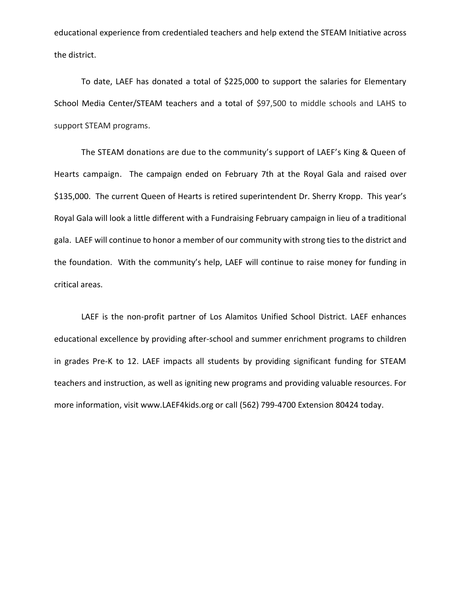educational experience from credentialed teachers and help extend the STEAM Initiative across the district.

To date, LAEF has donated a total of \$225,000 to support the salaries for Elementary School Media Center/STEAM teachers and a total of \$97,500 to middle schools and LAHS to support STEAM programs.

The STEAM donations are due to the community's support of LAEF's King & Queen of Hearts campaign. The campaign ended on February 7th at the Royal Gala and raised over \$135,000. The current Queen of Hearts is retired superintendent Dr. Sherry Kropp. This year's Royal Gala will look a little different with a Fundraising February campaign in lieu of a traditional gala. LAEF will continue to honor a member of our community with strong ties to the district and the foundation. With the community's help, LAEF will continue to raise money for funding in critical areas.

LAEF is the non-profit partner of Los Alamitos Unified School District. LAEF enhances educational excellence by providing after-school and summer enrichment programs to children in grades Pre-K to 12. LAEF impacts all students by providing significant funding for STEAM teachers and instruction, as well as igniting new programs and providing valuable resources. For more information, visit www.LAEF4kids.org or call (562) 799-4700 Extension 80424 today.